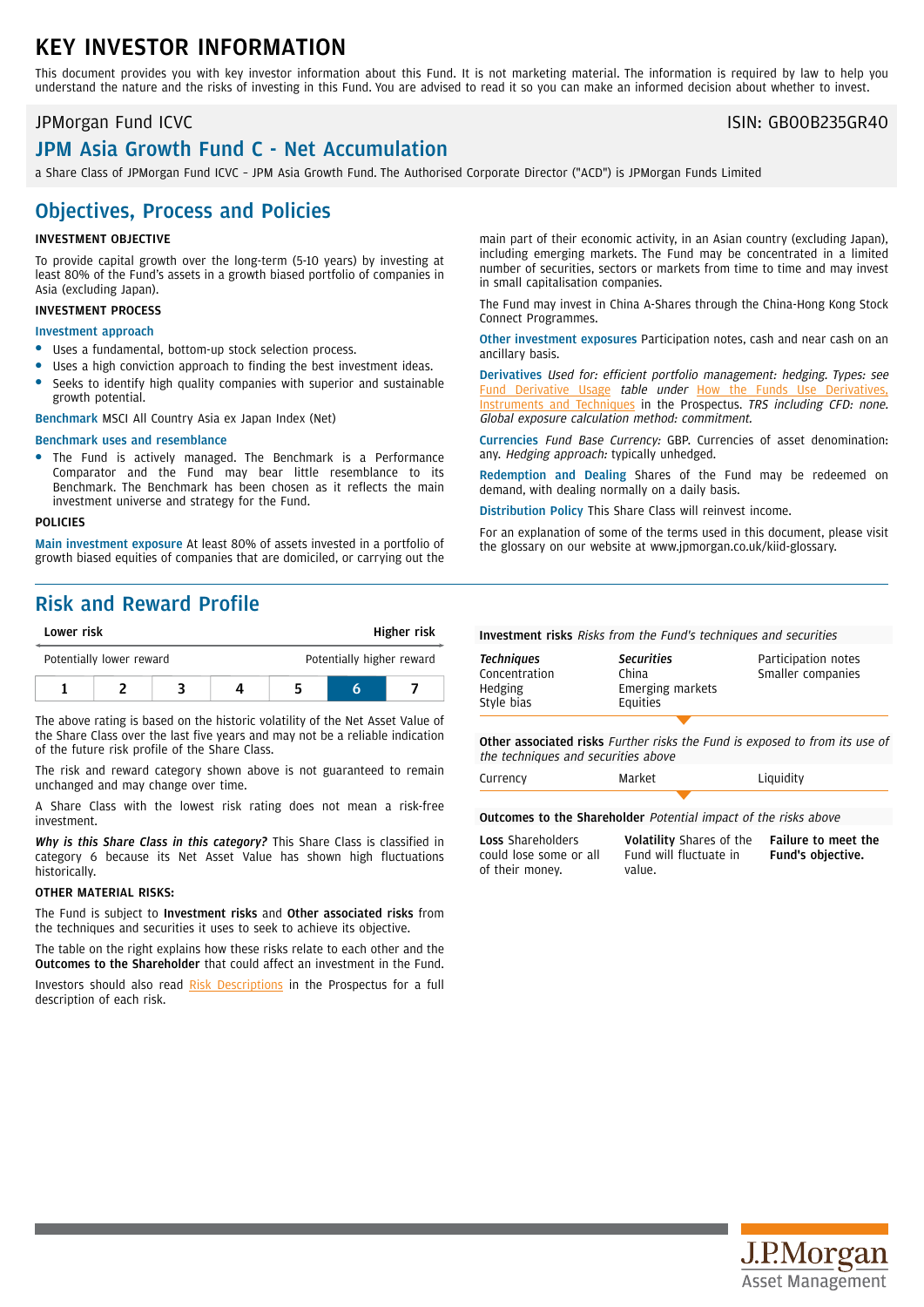# KEY INVESTOR INFORMATION

This document provides you with key investor information about this Fund. It is not marketing material. The information is required by law to help you understand the nature and the risks of investing in this Fund. You are advised to read it so you can make an informed decision about whether to invest.

# JPM Asia Growth Fund C - Net Accumulation

a Share Class of JPMorgan Fund ICVC – JPM Asia Growth Fund. The Authorised Corporate Director ("ACD") is JPMorgan Funds Limited

### Objectives, Process and Policies

### INVESTMENT OBJECTIVE

To provide capital growth over the long-term (5-10 years) by investing at least 80% of the Fund's assets in a growth biased portfolio of companies in Asia (excluding Japan).

### INVESTMENT PROCESS

### Investment approach

- Uses a fundamental, bottom-up stock selection process.
- Uses a high conviction approach to finding the best investment ideas.
- Seeks to identify high quality companies with superior and sustainable growth potential.

Benchmark MSCI All Country Asia ex Japan Index (Net)

### Benchmark uses and resemblance

The Fund is actively managed. The Benchmark is a Performance Comparator and the Fund may bear little resemblance to its Benchmark. The Benchmark has been chosen as it reflects the main investment universe and strategy for the Fund.

### POLICIES

Main investment exposure At least 80% of assets invested in a portfolio of growth biased equities of companies that are domiciled, or carrying out the

## Risk and Reward Profile

| Lower risk |                          |  |  | Higher risk |                           |  |
|------------|--------------------------|--|--|-------------|---------------------------|--|
|            | Potentially lower reward |  |  |             | Potentially higher reward |  |
|            |                          |  |  |             |                           |  |

The above rating is based on the historic volatility of the Net Asset Value of the Share Class over the last five years and may not be a reliable indication of the future risk profile of the Share Class.

The risk and reward category shown above is not guaranteed to remain unchanged and may change over time.

A Share Class with the lowest risk rating does not mean a risk-free investment.

*Why is this Share Class in this category?* This Share Class is classified in category 6 because its Net Asset Value has shown high fluctuations historically.

### OTHER MATERIAL RISKS:

The Fund is subject to Investment risks and Other associated risks from the techniques and securities it uses to seek to achieve its objective.

The table on the right explains how these risks relate to each other and the Outcomes to the Shareholder that could affect an investment in the Fund.

Investors should also read Risk [Descriptions](https://am.jpmorgan.com/gb/en/asset-management/adv/products/fund-explorer/oeics) in the Prospectus for a full description of each risk.

main part of their economic activity, in an Asian country (excluding Japan), including emerging markets. The Fund may be concentrated in a limited number of securities, sectors or markets from time to time and may invest in small capitalisation companies.

The Fund may invest in China A-Shares through the China-Hong Kong Stock Connect Programmes.

Other investment exposures Participation notes, cash and near cash on an ancillary basis.

Derivatives Used for: efficient portfolio management: hedging. Types: see Fund [Derivative](https://am.jpmorgan.com/gb/en/asset-management/adv/products/fund-explorer/oeics) Usage table under How the Funds [Instruments](https://am.jpmorgan.com/gb/en/asset-management/adv/products/fund-explorer/oeics) and Techniques in the Prospectus. TRS including CFD: none. Global exposure calculation method: commitment.

Currencies Fund Base Currency: GBP. Currencies of asset denomination: any. Hedging approach: typically unhedged.

Redemption and Dealing Shares of the Fund may be redeemed on demand, with dealing normally on a daily basis.

Distribution Policy This Share Class will reinvest income.

For an explanation of some of the terms used in this document, please visit the glossary on our website at [www.jpmorgan.co.uk/kiid-glossary.](www.jpmorgan.co.uk/kiid-glossary)

Investment risks Risks from the Fund's techniques and securities

| <b>Techniques</b><br>Concentration<br>Hedging<br>Style bias | <b>Securities</b><br>China<br>Emerging markets<br>Equities | Participation notes<br>Smaller companies |
|-------------------------------------------------------------|------------------------------------------------------------|------------------------------------------|
|                                                             |                                                            |                                          |

Other associated risks Further risks the Fund is exposed to from its use of the techniques and securities above

| Currency | Market |  |
|----------|--------|--|
|          |        |  |

Outcomes to the Shareholder Potential impact of the risks above

Loss Shareholders could lose some or all of their money.

Volatility Shares of the Fund will fluctuate in value.

Failure to meet the Fund's objective.

Liquidity



JPMorgan Fund ICVC **ISIN: GB00B235GR40**